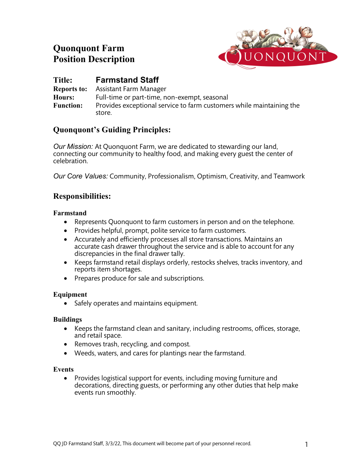# **Quonquont Farm Position Description**



# **Title: Farmstand Staff**

**Reports to:** Assistant Farm Manager **Hours:** Full-time or part-time, non-exempt, seasonal **Function:** Provides exceptional service to farm customers while maintaining the store.

# **Quonquont's Guiding Principles:**

*Our Mission:* At Quonquont Farm, we are dedicated to stewarding our land, connecting our community to healthy food, and making every guest the center of celebration.

*Our Core Values:* Community, Professionalism, Optimism, Creativity, and Teamwork

# **Responsibilities:**

### **Farmstand**

- Represents Quonquont to farm customers in person and on the telephone.
- Provides helpful, prompt, polite service to farm customers.
- Accurately and efficiently processes all store transactions. Maintains an accurate cash drawer throughout the service and is able to account for any discrepancies in the final drawer tally.
- Keeps farmstand retail displays orderly, restocks shelves, tracks inventory, and reports item shortages.
- Prepares produce for sale and subscriptions.

# **Equipment**

• Safely operates and maintains equipment.

#### **Buildings**

- Keeps the farmstand clean and sanitary, including restrooms, offices, storage, and retail space.
- Removes trash, recycling, and compost.
- Weeds, waters, and cares for plantings near the farmstand.

#### **Events**

• Provides logistical support for events, including moving furniture and decorations, directing guests, or performing any other duties that help make events run smoothly.